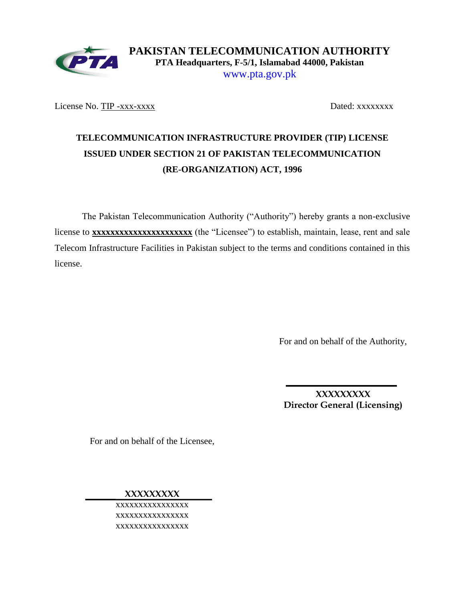

**PAKISTAN TELECOMMUNICATION AUTHORITY PTA Headquarters, F-5/1, Islamabad 44000, Pakistan** www.pta.gov.pk

License No. TIP -xxx-xxxxx<br>Dated: xxxxxxxxx

# **TELECOMMUNICATION INFRASTRUCTURE PROVIDER (TIP) LICENSE ISSUED UNDER SECTION 21 OF PAKISTAN TELECOMMUNICATION (RE-ORGANIZATION) ACT, 1996**

The Pakistan Telecommunication Authority ("Authority") hereby grants a non-exclusive license to **xxxxxxxxxxxxxxxxxxxxxx** (the "Licensee") to establish, maintain, lease, rent and sale Telecom Infrastructure Facilities in Pakistan subject to the terms and conditions contained in this license.

For and on behalf of the Authority,

**XXXXXXXXX Director General (Licensing)**

For and on behalf of the Licensee,

**XXXXXXXXX**

xxxxxxxxxxxxxxxx xxxxxxxxxxxxxxxx xxxxxxxxxxxxxxxx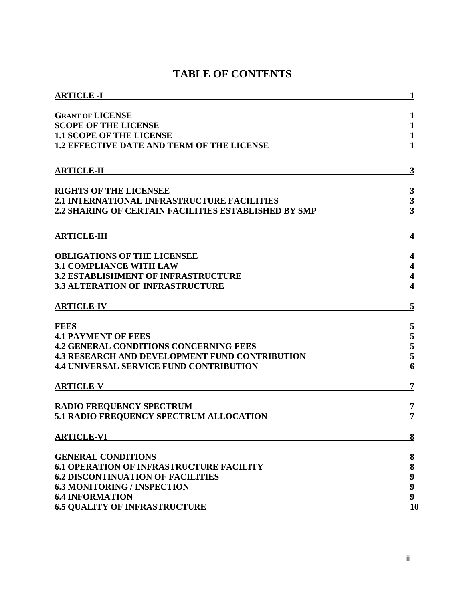|  |  | <b>TABLE OF CONTENTS</b> |
|--|--|--------------------------|
|--|--|--------------------------|

| <b>ARTICLE -I</b>                                     | 1                       |
|-------------------------------------------------------|-------------------------|
| <b>GRANT OF LICENSE</b>                               | 1                       |
| <b>SCOPE OF THE LICENSE</b>                           | $\mathbf{1}$            |
| <b>1.1 SCOPE OF THE LICENSE</b>                       | $\mathbf{1}$            |
| <b>1.2 EFFECTIVE DATE AND TERM OF THE LICENSE</b>     | $\mathbf{1}$            |
| <b>ARTICLE-II</b>                                     | 3                       |
| <b>RIGHTS OF THE LICENSEE</b>                         | $\mathbf{3}$            |
| <b>2.1 INTERNATIONAL INFRASTRUCTURE FACILITIES</b>    | $\mathbf{3}$            |
| 2.2 SHARING OF CERTAIN FACILITIES ESTABLISHED BY SMP  | $\overline{\mathbf{3}}$ |
| <b>ARTICLE-III</b>                                    | 4                       |
| <b>OBLIGATIONS OF THE LICENSEE</b>                    | 4                       |
| <b>3.1 COMPLIANCE WITH LAW</b>                        | 4                       |
| <b>3.2 ESTABLISHMENT OF INFRASTRUCTURE</b>            | $\overline{\mathbf{4}}$ |
| <b>3.3 ALTERATION OF INFRASTRUCTURE</b>               | $\overline{\mathbf{4}}$ |
| <b>ARTICLE-IV</b>                                     | 5                       |
| <b>FEES</b>                                           | 5                       |
| <b>4.1 PAYMENT OF FEES</b>                            | $\sqrt{5}$              |
| <b>4.2 GENERAL CONDITIONS CONCERNING FEES</b>         | 5                       |
| <b>4.3 RESEARCH AND DEVELOPMENT FUND CONTRIBUTION</b> | 5                       |
| <b>4.4 UNIVERSAL SERVICE FUND CONTRIBUTION</b>        | 6                       |
| <b>ARTICLE-V</b>                                      | 7                       |
| <b>RADIO FREQUENCY SPECTRUM</b>                       | 7                       |
| 5.1 RADIO FREQUENCY SPECTRUM ALLOCATION               | 7                       |
| <b>ARTICLE-VI</b>                                     | 8                       |
| <b>GENERAL CONDITIONS</b>                             | 8                       |
| <b>6.1 OPERATION OF INFRASTRUCTURE FACILITY</b>       | ${\bf 8}$               |
| <b>6.2 DISCONTINUATION OF FACILITIES</b>              | $\boldsymbol{9}$        |
| <b>6.3 MONITORING / INSPECTION</b>                    | $\boldsymbol{9}$        |
| <b>6.4 INFORMATION</b>                                | $\boldsymbol{9}$        |
| <b>6.5 QUALITY OF INFRASTRUCTURE</b>                  | 10                      |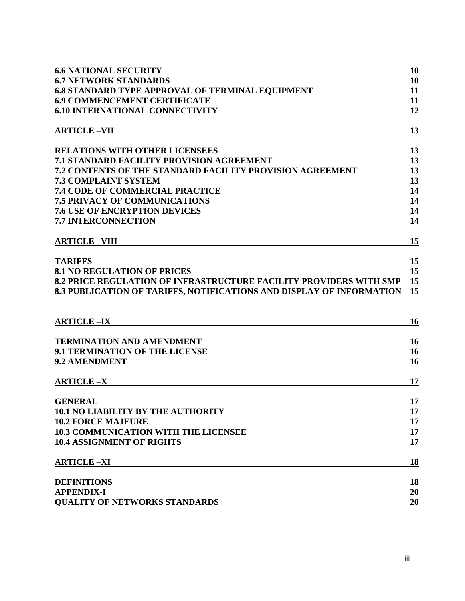| <b>6.6 NATIONAL SECURITY</b>                                              | 10       |
|---------------------------------------------------------------------------|----------|
| <b>6.7 NETWORK STANDARDS</b>                                              | 10       |
| <b>6.8 STANDARD TYPE APPROVAL OF TERMINAL EQUIPMENT</b>                   | 11       |
| <b>6.9 COMMENCEMENT CERTIFICATE</b>                                       | 11       |
| <b>6.10 INTERNATIONAL CONNECTIVITY</b>                                    | 12       |
| <b>ARTICLE-VII</b>                                                        | 13       |
| <b>RELATIONS WITH OTHER LICENSEES</b>                                     | 13       |
| <b>7.1 STANDARD FACILITY PROVISION AGREEMENT</b>                          | 13       |
| <b>7.2 CONTENTS OF THE STANDARD FACILITY PROVISION AGREEMENT</b>          | 13       |
| <b>7.3 COMPLAINT SYSTEM</b>                                               | 13       |
| <b>7.4 CODE OF COMMERCIAL PRACTICE</b>                                    | 14       |
| <b>7.5 PRIVACY OF COMMUNICATIONS</b>                                      | 14       |
| <b>7.6 USE OF ENCRYPTION DEVICES</b>                                      | 14       |
| 7.7 INTERCONNECTION                                                       | 14       |
| <b>ARTICLE-VIII</b>                                                       | 15       |
| <b>TARIFFS</b>                                                            | 15       |
| <b>8.1 NO REGULATION OF PRICES</b>                                        | 15       |
| <b>8.2 PRICE REGULATION OF INFRASTRUCTURE FACILITY PROVIDERS WITH SMP</b> | 15       |
| 8.3 PUBLICATION OF TARIFFS, NOTIFICATIONS AND DISPLAY OF INFORMATION      | 15       |
| <b>ARTICLE-IX</b>                                                         | 16       |
|                                                                           |          |
| <b>TERMINATION AND AMENDMENT</b><br>9.1 TERMINATION OF THE LICENSE        | 16<br>16 |
| 9.2 AMENDMENT                                                             | 16       |
|                                                                           |          |
| <b>ARTICLE-X</b>                                                          | 17       |
| <b>GENERAL</b>                                                            | 17       |
| <b>10.1 NO LIABILITY BY THE AUTHORITY</b>                                 | 17       |
| <b>10.2 FORCE MAJEURE</b>                                                 | 17       |
| <b>10.3 COMMUNICATION WITH THE LICENSEE</b>                               | 17       |
| <b>10.4 ASSIGNMENT OF RIGHTS</b>                                          | 17       |
| <b>ARTICLE-XI</b>                                                         | 18       |
| <b>DEFINITIONS</b>                                                        | 18       |
| <b>APPENDIX-I</b>                                                         |          |
|                                                                           | 20       |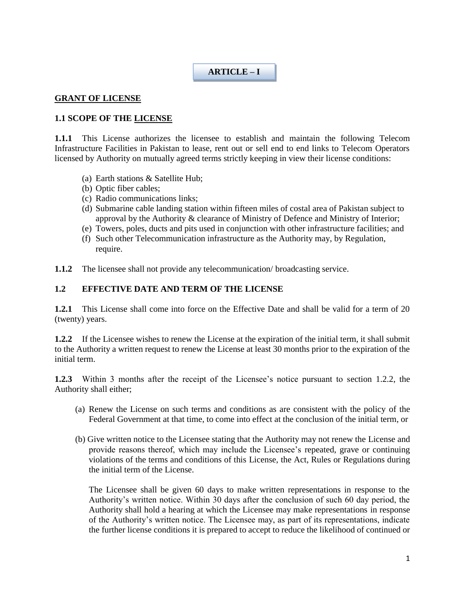### **ARTICLE – I**

#### **GRANT OF LICENSE**

### **1.1 SCOPE OF THE LICENSE**

**1.1.1** This License authorizes the licensee to establish and maintain the following Telecom Infrastructure Facilities in Pakistan to lease, rent out or sell end to end links to Telecom Operators licensed by Authority on mutually agreed terms strictly keeping in view their license conditions:

- (a) Earth stations & Satellite Hub;
- (b) Optic fiber cables;
- (c) Radio communications links;
- (d) Submarine cable landing station within fifteen miles of costal area of Pakistan subject to approval by the Authority & clearance of Ministry of Defence and Ministry of Interior;
- (e) Towers, poles, ducts and pits used in conjunction with other infrastructure facilities; and
- (f) Such other Telecommunication infrastructure as the Authority may, by Regulation, require.
- **1.1.2** The licensee shall not provide any telecommunication/ broadcasting service.

#### **1.2 EFFECTIVE DATE AND TERM OF THE LICENSE**

**1.2.1** This License shall come into force on the Effective Date and shall be valid for a term of 20 (twenty) years.

**1.2.2** If the Licensee wishes to renew the License at the expiration of the initial term, it shall submit to the Authority a written request to renew the License at least 30 months prior to the expiration of the initial term.

**1.2.3** Within 3 months after the receipt of the Licensee's notice pursuant to section 1.2.2, the Authority shall either;

- (a) Renew the License on such terms and conditions as are consistent with the policy of the Federal Government at that time, to come into effect at the conclusion of the initial term, or
- (b) Give written notice to the Licensee stating that the Authority may not renew the License and provide reasons thereof, which may include the Licensee's repeated, grave or continuing violations of the terms and conditions of this License, the Act, Rules or Regulations during the initial term of the License.

The Licensee shall be given 60 days to make written representations in response to the Authority's written notice. Within 30 days after the conclusion of such 60 day period, the Authority shall hold a hearing at which the Licensee may make representations in response of the Authority's written notice. The Licensee may, as part of its representations, indicate the further license conditions it is prepared to accept to reduce the likelihood of continued or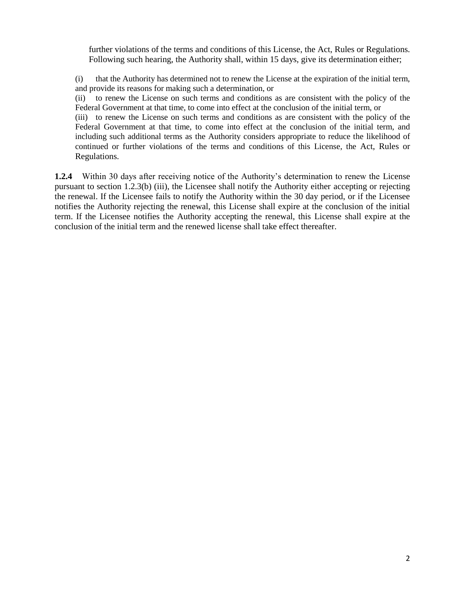further violations of the terms and conditions of this License, the Act, Rules or Regulations. Following such hearing, the Authority shall, within 15 days, give its determination either;

(i) that the Authority has determined not to renew the License at the expiration of the initial term, and provide its reasons for making such a determination, or

(ii) to renew the License on such terms and conditions as are consistent with the policy of the Federal Government at that time, to come into effect at the conclusion of the initial term, or

(iii) to renew the License on such terms and conditions as are consistent with the policy of the Federal Government at that time, to come into effect at the conclusion of the initial term, and including such additional terms as the Authority considers appropriate to reduce the likelihood of continued or further violations of the terms and conditions of this License, the Act, Rules or Regulations.

**1.2.4** Within 30 days after receiving notice of the Authority's determination to renew the License pursuant to section 1.2.3(b) (iii), the Licensee shall notify the Authority either accepting or rejecting the renewal. If the Licensee fails to notify the Authority within the 30 day period, or if the Licensee notifies the Authority rejecting the renewal, this License shall expire at the conclusion of the initial term. If the Licensee notifies the Authority accepting the renewal, this License shall expire at the conclusion of the initial term and the renewed license shall take effect thereafter.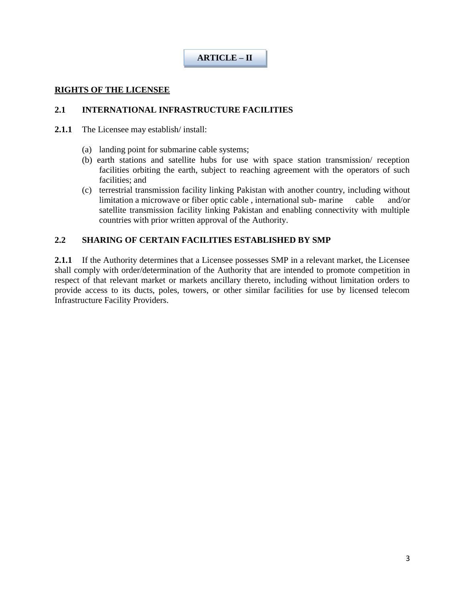### **ARTICLE – II**

#### **RIGHTS OF THE LICENSEE**

#### **2.1 INTERNATIONAL INFRASTRUCTURE FACILITIES**

- **2.1.1** The Licensee may establish/ install:
	- (a) landing point for submarine cable systems;
	- (b) earth stations and satellite hubs for use with space station transmission/ reception facilities orbiting the earth, subject to reaching agreement with the operators of such facilities; and
	- (c) terrestrial transmission facility linking Pakistan with another country, including without limitation a microwave or fiber optic cable , international sub- marine cable and/or satellite transmission facility linking Pakistan and enabling connectivity with multiple countries with prior written approval of the Authority.

#### **2.2 SHARING OF CERTAIN FACILITIES ESTABLISHED BY SMP**

**2.1.1** If the Authority determines that a Licensee possesses SMP in a relevant market, the Licensee shall comply with order/determination of the Authority that are intended to promote competition in respect of that relevant market or markets ancillary thereto, including without limitation orders to provide access to its ducts, poles, towers, or other similar facilities for use by licensed telecom Infrastructure Facility Providers.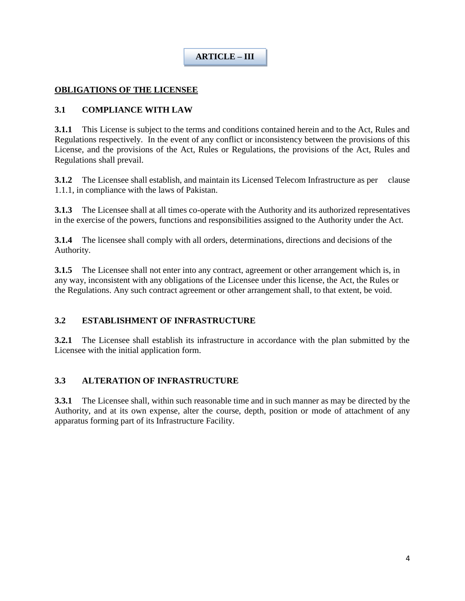# **ARTICLE – III**

### **OBLIGATIONS OF THE LICENSEE**

### **3.1 COMPLIANCE WITH LAW**

**3.1.1** This License is subject to the terms and conditions contained herein and to the Act, Rules and Regulations respectively. In the event of any conflict or inconsistency between the provisions of this License, and the provisions of the Act, Rules or Regulations, the provisions of the Act, Rules and Regulations shall prevail.

**3.1.2** The Licensee shall establish, and maintain its Licensed Telecom Infrastructure as per clause 1.1.1, in compliance with the laws of Pakistan.

**3.1.3** The Licensee shall at all times co-operate with the Authority and its authorized representatives in the exercise of the powers, functions and responsibilities assigned to the Authority under the Act.

**3.1.4** The licensee shall comply with all orders, determinations, directions and decisions of the Authority.

**3.1.5** The Licensee shall not enter into any contract, agreement or other arrangement which is, in any way, inconsistent with any obligations of the Licensee under this license, the Act, the Rules or the Regulations. Any such contract agreement or other arrangement shall, to that extent, be void.

### **3.2 ESTABLISHMENT OF INFRASTRUCTURE**

**3.2.1** The Licensee shall establish its infrastructure in accordance with the plan submitted by the Licensee with the initial application form.

#### **3.3 ALTERATION OF INFRASTRUCTURE**

**3.3.1** The Licensee shall, within such reasonable time and in such manner as may be directed by the Authority, and at its own expense, alter the course, depth, position or mode of attachment of any apparatus forming part of its Infrastructure Facility.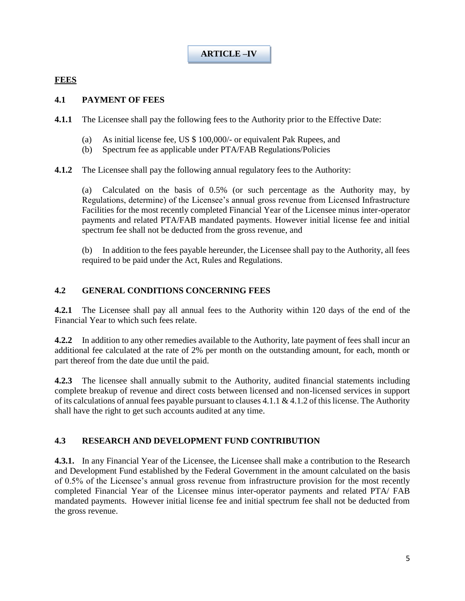**ARTICLE –IV**

### **FEES**

#### **4.1 PAYMENT OF FEES**

**4.1.1** The Licensee shall pay the following fees to the Authority prior to the Effective Date:

- (a) As initial license fee, US \$ 100,000/- or equivalent Pak Rupees, and
- (b) Spectrum fee as applicable under PTA/FAB Regulations/Policies

**4.1.2** The Licensee shall pay the following annual regulatory fees to the Authority:

(a) Calculated on the basis of 0.5% (or such percentage as the Authority may, by Regulations, determine) of the Licensee's annual gross revenue from Licensed Infrastructure Facilities for the most recently completed Financial Year of the Licensee minus inter-operator payments and related PTA/FAB mandated payments. However initial license fee and initial spectrum fee shall not be deducted from the gross revenue, and

(b) In addition to the fees payable hereunder, the Licensee shall pay to the Authority, all fees required to be paid under the Act, Rules and Regulations.

#### **4.2 GENERAL CONDITIONS CONCERNING FEES**

**4.2.1** The Licensee shall pay all annual fees to the Authority within 120 days of the end of the Financial Year to which such fees relate.

**4.2.2** In addition to any other remedies available to the Authority, late payment of fees shall incur an additional fee calculated at the rate of 2% per month on the outstanding amount, for each, month or part thereof from the date due until the paid.

**4.2.3** The licensee shall annually submit to the Authority, audited financial statements including complete breakup of revenue and direct costs between licensed and non-licensed services in support of its calculations of annual fees payable pursuant to clauses 4.1.1 & 4.1.2 of this license. The Authority shall have the right to get such accounts audited at any time.

#### **4.3 RESEARCH AND DEVELOPMENT FUND CONTRIBUTION**

**4.3.1.** In any Financial Year of the Licensee, the Licensee shall make a contribution to the Research and Development Fund established by the Federal Government in the amount calculated on the basis of 0.5% of the Licensee's annual gross revenue from infrastructure provision for the most recently completed Financial Year of the Licensee minus inter-operator payments and related PTA/ FAB mandated payments. However initial license fee and initial spectrum fee shall not be deducted from the gross revenue.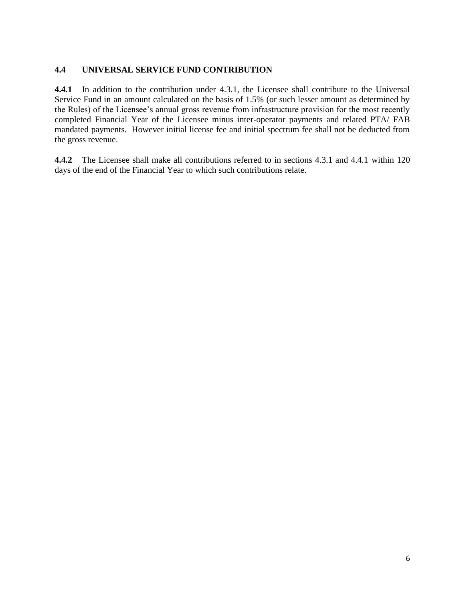### **4.4 UNIVERSAL SERVICE FUND CONTRIBUTION**

**4.4.1** In addition to the contribution under 4.3.1, the Licensee shall contribute to the Universal Service Fund in an amount calculated on the basis of 1.5% (or such lesser amount as determined by the Rules) of the Licensee's annual gross revenue from infrastructure provision for the most recently completed Financial Year of the Licensee minus inter-operator payments and related PTA/ FAB mandated payments. However initial license fee and initial spectrum fee shall not be deducted from the gross revenue.

**4.4.2** The Licensee shall make all contributions referred to in sections 4.3.1 and 4.4.1 within 120 days of the end of the Financial Year to which such contributions relate.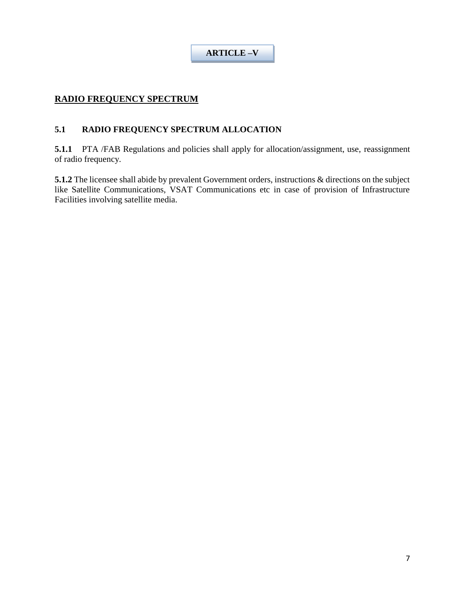**ARTICLE –V**

### **RADIO FREQUENCY SPECTRUM**

### **5.1 RADIO FREQUENCY SPECTRUM ALLOCATION**

**5.1.1** PTA /FAB Regulations and policies shall apply for allocation/assignment, use, reassignment of radio frequency.

**5.1.2** The licensee shall abide by prevalent Government orders, instructions & directions on the subject like Satellite Communications, VSAT Communications etc in case of provision of Infrastructure Facilities involving satellite media.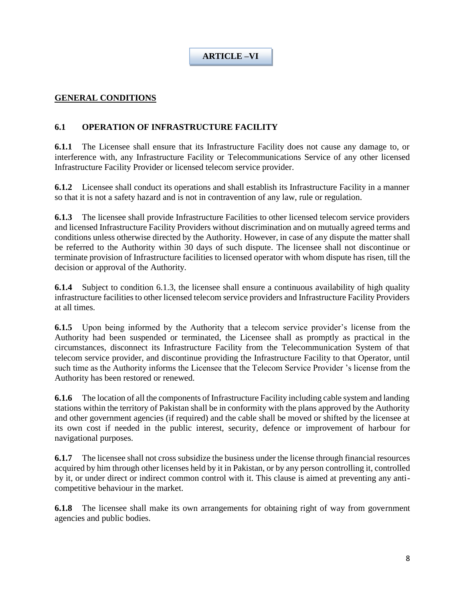## **ARTICLE –VI**

### **GENERAL CONDITIONS**

### **6.1 OPERATION OF INFRASTRUCTURE FACILITY**

**6.1.1** The Licensee shall ensure that its Infrastructure Facility does not cause any damage to, or interference with, any Infrastructure Facility or Telecommunications Service of any other licensed Infrastructure Facility Provider or licensed telecom service provider.

**6.1.2** Licensee shall conduct its operations and shall establish its Infrastructure Facility in a manner so that it is not a safety hazard and is not in contravention of any law, rule or regulation.

**6.1.3** The licensee shall provide Infrastructure Facilities to other licensed telecom service providers and licensed Infrastructure Facility Providers without discrimination and on mutually agreed terms and conditions unless otherwise directed by the Authority. However, in case of any dispute the matter shall be referred to the Authority within 30 days of such dispute. The licensee shall not discontinue or terminate provision of Infrastructure facilities to licensed operator with whom dispute has risen, till the decision or approval of the Authority.

**6.1.4** Subject to condition 6.1.3, the licensee shall ensure a continuous availability of high quality infrastructure facilities to other licensed telecom service providers and Infrastructure Facility Providers at all times.

**6.1.5** Upon being informed by the Authority that a telecom service provider's license from the Authority had been suspended or terminated, the Licensee shall as promptly as practical in the circumstances, disconnect its Infrastructure Facility from the Telecommunication System of that telecom service provider, and discontinue providing the Infrastructure Facility to that Operator, until such time as the Authority informs the Licensee that the Telecom Service Provider 's license from the Authority has been restored or renewed.

**6.1.6** The location of all the components of Infrastructure Facility including cable system and landing stations within the territory of Pakistan shall be in conformity with the plans approved by the Authority and other government agencies (if required) and the cable shall be moved or shifted by the licensee at its own cost if needed in the public interest, security, defence or improvement of harbour for navigational purposes.

**6.1.7** The licensee shall not cross subsidize the business under the license through financial resources acquired by him through other licenses held by it in Pakistan, or by any person controlling it, controlled by it, or under direct or indirect common control with it. This clause is aimed at preventing any anticompetitive behaviour in the market.

**6.1.8** The licensee shall make its own arrangements for obtaining right of way from government agencies and public bodies.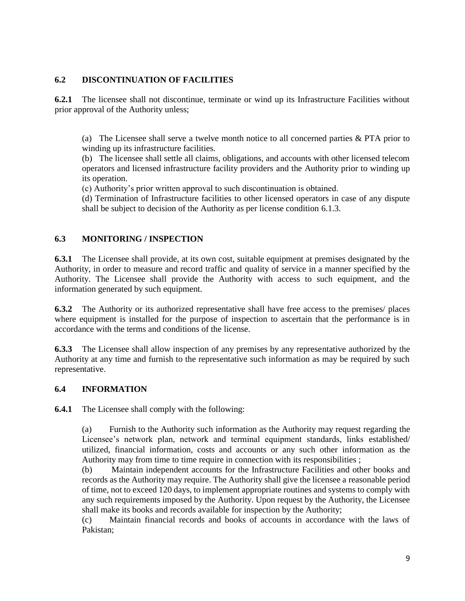### **6.2 DISCONTINUATION OF FACILITIES**

**6.2.1** The licensee shall not discontinue, terminate or wind up its Infrastructure Facilities without prior approval of the Authority unless;

(a) The Licensee shall serve a twelve month notice to all concerned parties & PTA prior to winding up its infrastructure facilities.

(b) The licensee shall settle all claims, obligations, and accounts with other licensed telecom operators and licensed infrastructure facility providers and the Authority prior to winding up its operation.

(c) Authority's prior written approval to such discontinuation is obtained.

(d) Termination of Infrastructure facilities to other licensed operators in case of any dispute shall be subject to decision of the Authority as per license condition 6.1.3.

### **6.3 MONITORING / INSPECTION**

**6.3.1** The Licensee shall provide, at its own cost, suitable equipment at premises designated by the Authority, in order to measure and record traffic and quality of service in a manner specified by the Authority. The Licensee shall provide the Authority with access to such equipment, and the information generated by such equipment.

**6.3.2** The Authority or its authorized representative shall have free access to the premises/ places where equipment is installed for the purpose of inspection to ascertain that the performance is in accordance with the terms and conditions of the license.

**6.3.3** The Licensee shall allow inspection of any premises by any representative authorized by the Authority at any time and furnish to the representative such information as may be required by such representative.

#### **6.4 INFORMATION**

**6.4.1** The Licensee shall comply with the following:

(a) Furnish to the Authority such information as the Authority may request regarding the Licensee's network plan, network and terminal equipment standards, links established/ utilized, financial information, costs and accounts or any such other information as the Authority may from time to time require in connection with its responsibilities ;

(b) Maintain independent accounts for the Infrastructure Facilities and other books and records as the Authority may require. The Authority shall give the licensee a reasonable period of time, not to exceed 120 days, to implement appropriate routines and systems to comply with any such requirements imposed by the Authority. Upon request by the Authority, the Licensee shall make its books and records available for inspection by the Authority;

(c) Maintain financial records and books of accounts in accordance with the laws of Pakistan;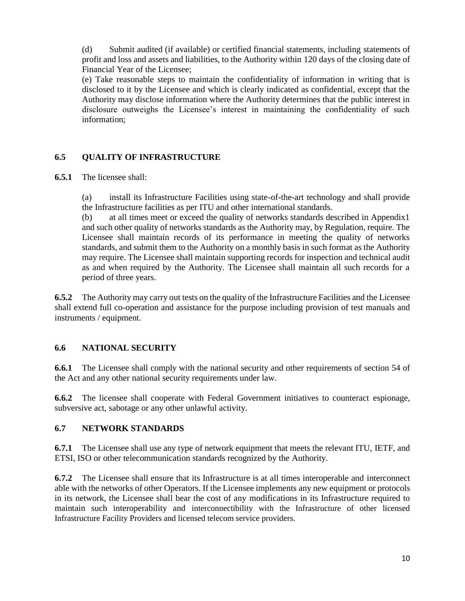(d) Submit audited (if available) or certified financial statements, including statements of profit and loss and assets and liabilities, to the Authority within 120 days of the closing date of Financial Year of the Licensee;

(e) Take reasonable steps to maintain the confidentiality of information in writing that is disclosed to it by the Licensee and which is clearly indicated as confidential, except that the Authority may disclose information where the Authority determines that the public interest in disclosure outweighs the Licensee's interest in maintaining the confidentiality of such information;

### **6.5 QUALITY OF INFRASTRUCTURE**

**6.5.1** The licensee shall:

(a) install its Infrastructure Facilities using state-of-the-art technology and shall provide the Infrastructure facilities as per ITU and other international standards.

(b) at all times meet or exceed the quality of networks standards described in Appendix1 and such other quality of networks standards as the Authority may, by Regulation, require. The Licensee shall maintain records of its performance in meeting the quality of networks standards, and submit them to the Authority on a monthly basis in such format as the Authority may require. The Licensee shall maintain supporting records for inspection and technical audit as and when required by the Authority. The Licensee shall maintain all such records for a period of three years.

**6.5.2** The Authority may carry out tests on the quality of the Infrastructure Facilities and the Licensee shall extend full co-operation and assistance for the purpose including provision of test manuals and instruments / equipment.

### **6.6 NATIONAL SECURITY**

**6.6.1** The Licensee shall comply with the national security and other requirements of section 54 of the Act and any other national security requirements under law.

**6.6.2** The licensee shall cooperate with Federal Government initiatives to counteract espionage, subversive act, sabotage or any other unlawful activity.

#### **6.7 NETWORK STANDARDS**

**6.7.1** The Licensee shall use any type of network equipment that meets the relevant ITU, IETF, and ETSI, ISO or other telecommunication standards recognized by the Authority.

**6.7.2** The Licensee shall ensure that its Infrastructure is at all times interoperable and interconnect able with the networks of other Operators. If the Licensee implements any new equipment or protocols in its network, the Licensee shall bear the cost of any modifications in its Infrastructure required to maintain such interoperability and interconnectibility with the Infrastructure of other licensed Infrastructure Facility Providers and licensed telecom service providers.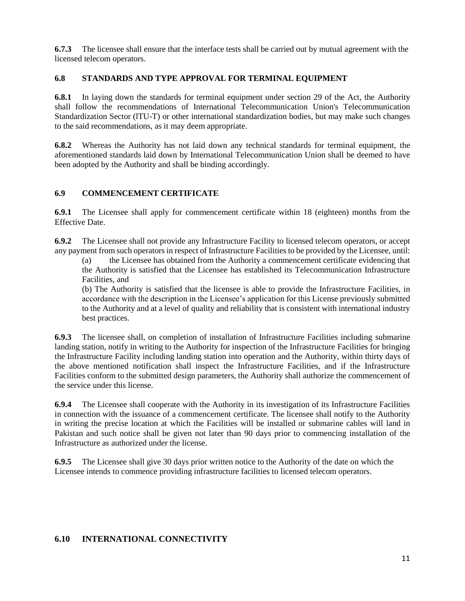**6.7.3** The licensee shall ensure that the interface tests shall be carried out by mutual agreement with the licensed telecom operators.

#### **6.8 STANDARDS AND TYPE APPROVAL FOR TERMINAL EQUIPMENT**

**6.8.1** In laying down the standards for terminal equipment under section 29 of the Act, the Authority shall follow the recommendations of International Telecommunication Union's Telecommunication Standardization Sector (lTU-T) or other international standardization bodies, but may make such changes to the said recommendations, as it may deem appropriate.

**6.8.2** Whereas the Authority has not laid down any technical standards for terminal equipment, the aforementioned standards laid down by International Telecommunication Union shall be deemed to have been adopted by the Authority and shall be binding accordingly.

#### **6.9 COMMENCEMENT CERTIFICATE**

**6.9.1** The Licensee shall apply for commencement certificate within 18 (eighteen) months from the Effective Date.

**6.9.2** The Licensee shall not provide any Infrastructure Facility to licensed telecom operators, or accept any payment from such operators in respect of Infrastructure Facilities to be provided by the Licensee, until:

(a) the Licensee has obtained from the Authority a commencement certificate evidencing that the Authority is satisfied that the Licensee has established its Telecommunication Infrastructure Facilities, and

(b) The Authority is satisfied that the licensee is able to provide the Infrastructure Facilities, in accordance with the description in the Licensee's application for this License previously submitted to the Authority and at a level of quality and reliability that is consistent with international industry best practices.

**6.9.3** The licensee shall, on completion of installation of Infrastructure Facilities including submarine landing station, notify in writing to the Authority for inspection of the Infrastructure Facilities for bringing the Infrastructure Facility including landing station into operation and the Authority, within thirty days of the above mentioned notification shall inspect the Infrastructure Facilities, and if the Infrastructure Facilities conform to the submitted design parameters, the Authority shall authorize the commencement of the service under this license.

**6.9.4** The Licensee shall cooperate with the Authority in its investigation of its Infrastructure Facilities in connection with the issuance of a commencement certificate. The licensee shall notify to the Authority in writing the precise location at which the Facilities will be installed or submarine cables will land in Pakistan and such notice shall be given not later than 90 days prior to commencing installation of the Infrastructure as authorized under the license.

**6.9.5** The Licensee shall give 30 days prior written notice to the Authority of the date on which the Licensee intends to commence providing infrastructure facilities to licensed telecom operators.

### **6.10 INTERNATIONAL CONNECTIVITY**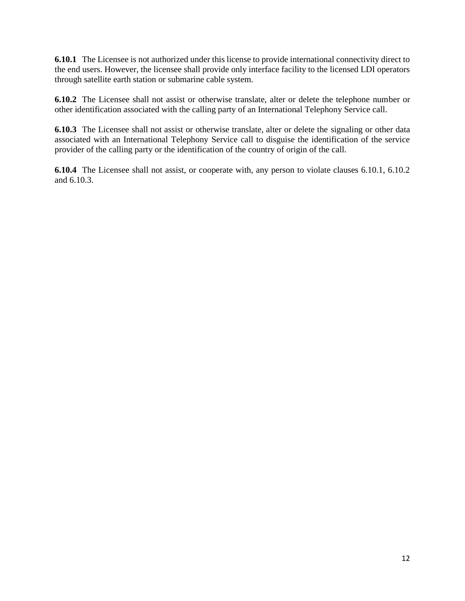**6.10.1** The Licensee is not authorized under this license to provide international connectivity direct to the end users. However, the licensee shall provide only interface facility to the licensed LDI operators through satellite earth station or submarine cable system.

**6.10.2** The Licensee shall not assist or otherwise translate, alter or delete the telephone number or other identification associated with the calling party of an International Telephony Service call.

**6.10.3** The Licensee shall not assist or otherwise translate, alter or delete the signaling or other data associated with an International Telephony Service call to disguise the identification of the service provider of the calling party or the identification of the country of origin of the call.

**6.10.4** The Licensee shall not assist, or cooperate with, any person to violate clauses 6.10.1, 6.10.2 and 6.10.3.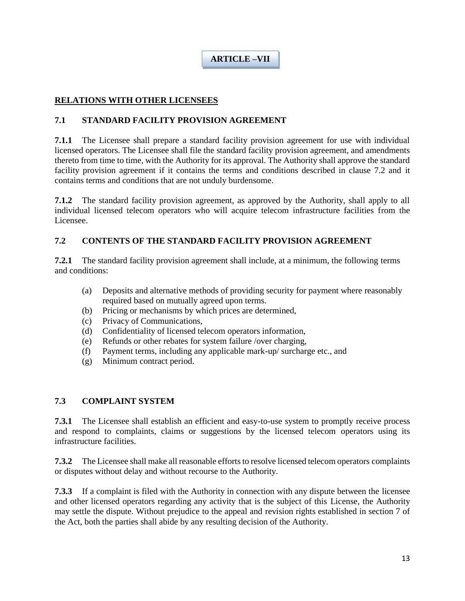**ARTICLE –VII**

### **RELATIONS WITH OTHER LICENSEES**

### **7.1 STANDARD FACILITY PROVISION AGREEMENT**

**7.1.1** The Licensee shall prepare a standard facility provision agreement for use with individual licensed operators. The Licensee shall file the standard facility provision agreement, and amendments thereto from time to time, with the Authority for its approval. The Authority shall approve the standard facility provision agreement if it contains the terms and conditions described in clause 7.2 and it contains terms and conditions that are not unduly burdensome.

**7.1.2** The standard facility provision agreement, as approved by the Authority, shall apply to all individual licensed telecom operators who will acquire telecom infrastructure facilities from the Licensee.

### **7.2 CONTENTS OF THE STANDARD FACILITY PROVISION AGREEMENT**

**7.2.1** The standard facility provision agreement shall include, at a minimum, the following terms and conditions:

- (a) Deposits and alternative methods of providing security for payment where reasonably required based on mutually agreed upon terms.
- (b) Pricing or mechanisms by which prices are determined,
- (c) Privacy of Communications,
- (d) Confidentiality of licensed telecom operators information,
- (e) Refunds or other rebates for system failure /over charging,
- (f) Payment terms, including any applicable mark-up/ surcharge etc., and
- (g) Minimum contract period.

### **7.3 COMPLAINT SYSTEM**

**7.3.1** The Licensee shall establish an efficient and easy-to-use system to promptly receive process and respond to complaints, claims or suggestions by the licensed telecom operators using its infrastructure facilities.

**7.3.2** The Licensee shall make all reasonable efforts to resolve licensed telecom operators complaints or disputes without delay and without recourse to the Authority.

**7.3.3** If a complaint is filed with the Authority in connection with any dispute between the licensee and other licensed operators regarding any activity that is the subject of this License, the Authority may settle the dispute. Without prejudice to the appeal and revision rights established in section 7 of the Act, both the parties shall abide by any resulting decision of the Authority.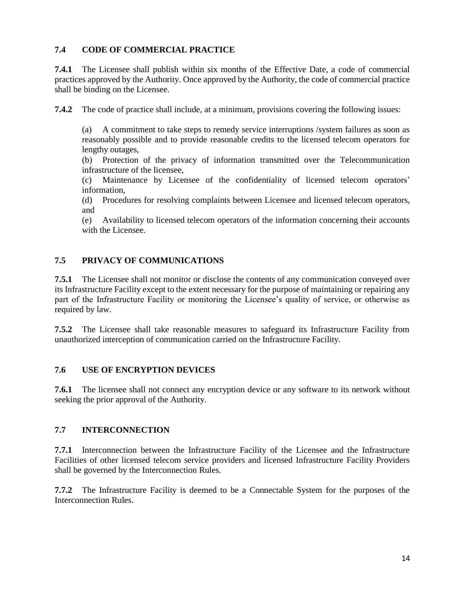### **7.4 CODE OF COMMERCIAL PRACTICE**

**7.4.1** The Licensee shall publish within six months of the Effective Date, a code of commercial practices approved by the Authority. Once approved by the Authority, the code of commercial practice shall be binding on the Licensee.

**7.4.2** The code of practice shall include, at a minimum, provisions covering the following issues:

(a) A commitment to take steps to remedy service interruptions /system failures as soon as reasonably possible and to provide reasonable credits to the licensed telecom operators for lengthy outages,

(b) Protection of the privacy of information transmitted over the Telecommunication infrastructure of the licensee,

(c) Maintenance by Licensee of the confidentiality of licensed telecom operators' information,

(d) Procedures for resolving complaints between Licensee and licensed telecom operators, and

(e) Availability to licensed telecom operators of the information concerning their accounts with the Licensee.

### **7.5 PRIVACY OF COMMUNICATIONS**

**7.5.1** The Licensee shall not monitor or disclose the contents of any communication conveyed over its Infrastructure Facility except to the extent necessary for the purpose of maintaining or repairing any part of the Infrastructure Facility or monitoring the Licensee's quality of service, or otherwise as required by law.

**7.5.2** The Licensee shall take reasonable measures to safeguard its Infrastructure Facility from unauthorized interception of communication carried on the Infrastructure Facility.

### **7.6 USE OF ENCRYPTION DEVICES**

**7.6.1** The licensee shall not connect any encryption device or any software to its network without seeking the prior approval of the Authority.

### **7.7 INTERCONNECTION**

**7.7.1** Interconnection between the Infrastructure Facility of the Licensee and the Infrastructure Facilities of other licensed telecom service providers and licensed Infrastructure Facility Providers shall be governed by the Interconnection Rules.

**7.7.2** The Infrastructure Facility is deemed to be a Connectable System for the purposes of the Interconnection Rules.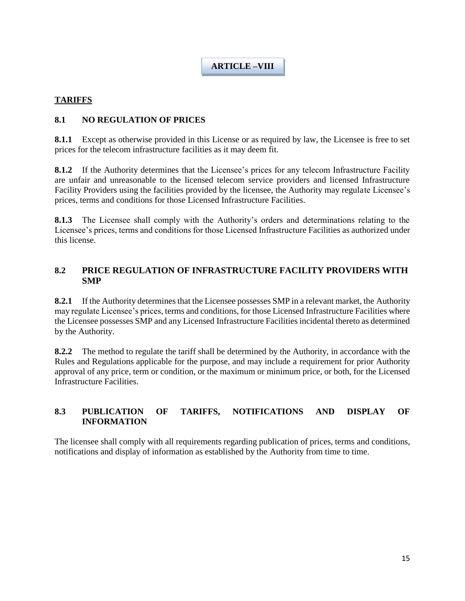### **ARTICLE –VIII**

### **TARIFFS**

### **8.1 NO REGULATION OF PRICES**

**8.1.1** Except as otherwise provided in this License or as required by law, the Licensee is free to set prices for the telecom infrastructure facilities as it may deem fit.

**8.1.2** If the Authority determines that the Licensee's prices for any telecom Infrastructure Facility are unfair and unreasonable to the licensed telecom service providers and licensed Infrastructure Facility Providers using the facilities provided by the licensee, the Authority may regulate Licensee's prices, terms and conditions for those Licensed Infrastructure Facilities.

**8.1.3** The Licensee shall comply with the Authority's orders and determinations relating to the Licensee's prices, terms and conditions for those Licensed Infrastructure Facilities as authorized under this license.

### **8.2 PRICE REGULATION OF INFRASTRUCTURE FACILITY PROVIDERS WITH SMP**

**8.2.1** If the Authority determines that the Licensee possesses SMP in a relevant market, the Authority may regulate Licensee's prices, terms and conditions, for those Licensed Infrastructure Facilities where the Licensee possesses SMP and any Licensed Infrastructure Facilities incidental thereto as determined by the Authority.

**8.2.2** The method to regulate the tariff shall be determined by the Authority, in accordance with the Rules and Regulations applicable for the purpose, and may include a requirement for prior Authority approval of any price, term or condition, or the maximum or minimum price, or both, for the Licensed Infrastructure Facilities.

### **8.3 PUBLICATION OF TARIFFS, NOTIFICATIONS AND DISPLAY OF INFORMATION**

The licensee shall comply with all requirements regarding publication of prices, terms and conditions, notifications and display of information as established by the Authority from time to time.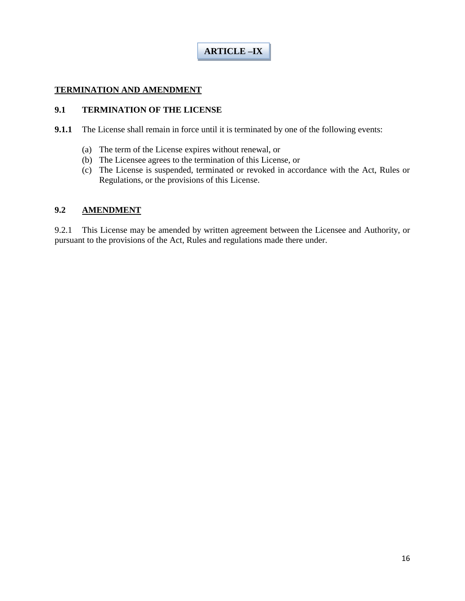### **TERMINATION AND AMENDMENT**

### **9.1 TERMINATION OF THE LICENSE**

- **9.1.1** The License shall remain in force until it is terminated by one of the following events:
	- (a) The term of the License expires without renewal, or
	- (b) The Licensee agrees to the termination of this License, or
	- (c) The License is suspended, terminated or revoked in accordance with the Act, Rules or Regulations, or the provisions of this License.

### **9.2 AMENDMENT**

9.2.1 This License may be amended by written agreement between the Licensee and Authority, or pursuant to the provisions of the Act, Rules and regulations made there under.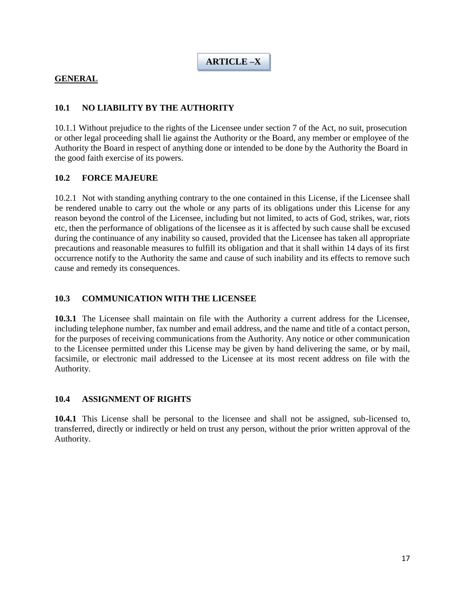**ARTICLE –X**

### **GENERAL**

### **10.1 NO LIABILITY BY THE AUTHORITY**

10.1.1 Without prejudice to the rights of the Licensee under section 7 of the Act, no suit, prosecution or other legal proceeding shall lie against the Authority or the Board, any member or employee of the Authority the Board in respect of anything done or intended to be done by the Authority the Board in the good faith exercise of its powers.

#### **10.2 FORCE MAJEURE**

10.2.1 Not with standing anything contrary to the one contained in this License, if the Licensee shall be rendered unable to carry out the whole or any parts of its obligations under this License for any reason beyond the control of the Licensee, including but not limited, to acts of God, strikes, war, riots etc, then the performance of obligations of the licensee as it is affected by such cause shall be excused during the continuance of any inability so caused, provided that the Licensee has taken all appropriate precautions and reasonable measures to fulfill its obligation and that it shall within 14 days of its first occurrence notify to the Authority the same and cause of such inability and its effects to remove such cause and remedy its consequences.

#### **10.3 COMMUNICATION WITH THE LICENSEE**

**10.3.1** The Licensee shall maintain on file with the Authority a current address for the Licensee, including telephone number, fax number and email address, and the name and title of a contact person, for the purposes of receiving communications from the Authority. Any notice or other communication to the Licensee permitted under this License may be given by hand delivering the same, or by mail, facsimile, or electronic mail addressed to the Licensee at its most recent address on file with the Authority.

#### **10.4 ASSIGNMENT OF RIGHTS**

**10.4.1** This License shall be personal to the licensee and shall not be assigned, sub-licensed to, transferred, directly or indirectly or held on trust any person, without the prior written approval of the Authority.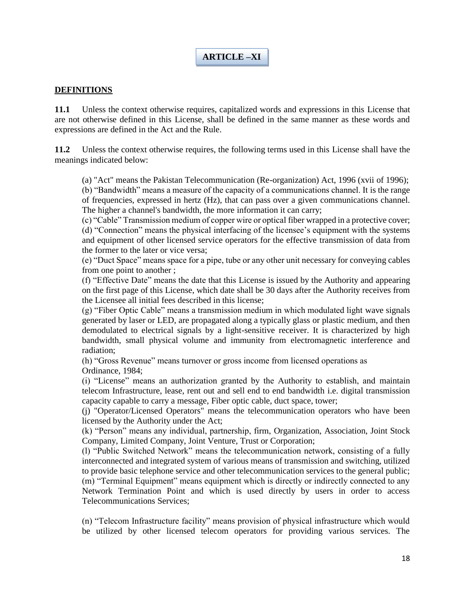# **ARTICLE –XI**

#### **DEFINITIONS**

**11.1** Unless the context otherwise requires, capitalized words and expressions in this License that are not otherwise defined in this License, shall be defined in the same manner as these words and expressions are defined in the Act and the Rule.

**11.2** Unless the context otherwise requires, the following terms used in this License shall have the meanings indicated below:

(a) "Act" means the Pakistan Telecommunication (Re-organization) Act, 1996 (xvii of 1996); (b) "Bandwidth" means a measure of the capacity of a communications channel. It is the range of frequencies, expressed in hertz (Hz), that can pass over a given communications channel. The higher a channel's bandwidth, the more information it can carry;

(c) "Cable" Transmission medium of copper wire or optical fiber wrapped in a protective cover; (d) "Connection" means the physical interfacing of the licensee's equipment with the systems and equipment of other licensed service operators for the effective transmission of data from the former to the later or vice versa;

(e) "Duct Space" means space for a pipe, tube or any other unit necessary for conveying cables from one point to another ;

(f) "Effective Date" means the date that this License is issued by the Authority and appearing on the first page of this License, which date shall be 30 days after the Authority receives from the Licensee all initial fees described in this license;

(g) "Fiber Optic Cable" means a transmission medium in which modulated light wave signals generated by laser or LED, are propagated along a typically glass or plastic medium, and then demodulated to electrical signals by a light-sensitive receiver. It is characterized by high bandwidth, small physical volume and immunity from electromagnetic interference and radiation;

(h) "Gross Revenue" means turnover or gross income from licensed operations as Ordinance, 1984;

(i) "License" means an authorization granted by the Authority to establish, and maintain telecom Infrastructure, lease, rent out and sell end to end bandwidth i.e. digital transmission capacity capable to carry a message, Fiber optic cable, duct space, tower;

(j) "Operator/Licensed Operators" means the telecommunication operators who have been licensed by the Authority under the Act;

(k) "Person" means any individual, partnership, firm, Organization, Association, Joint Stock Company, Limited Company, Joint Venture, Trust or Corporation;

(l) "Public Switched Network" means the telecommunication network, consisting of a fully interconnected and integrated system of various means of transmission and switching, utilized to provide basic telephone service and other telecommunication services to the general public; (m) "Terminal Equipment" means equipment which is directly or indirectly connected to any Network Termination Point and which is used directly by users in order to access Telecommunications Services;

(n) "Telecom Infrastructure facility" means provision of physical infrastructure which would be utilized by other licensed telecom operators for providing various services. The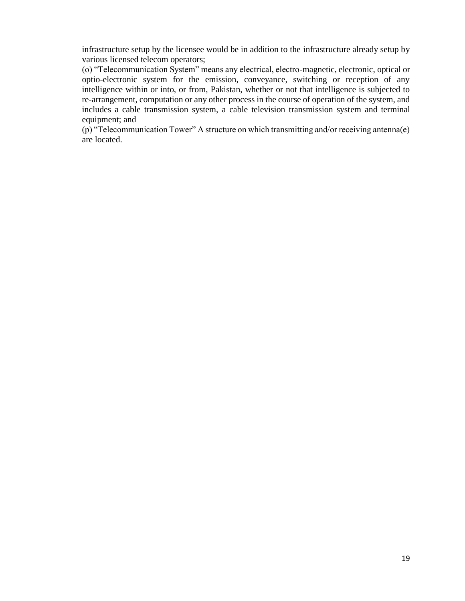infrastructure setup by the licensee would be in addition to the infrastructure already setup by various licensed telecom operators;

(o) "Telecommunication System" means any electrical, electro-magnetic, electronic, optical or optio-electronic system for the emission, conveyance, switching or reception of any intelligence within or into, or from, Pakistan, whether or not that intelligence is subjected to re-arrangement, computation or any other process in the course of operation of the system, and includes a cable transmission system, a cable television transmission system and terminal equipment; and

(p) "Telecommunication Tower" A structure on which transmitting and/or receiving antenna(e) are located.